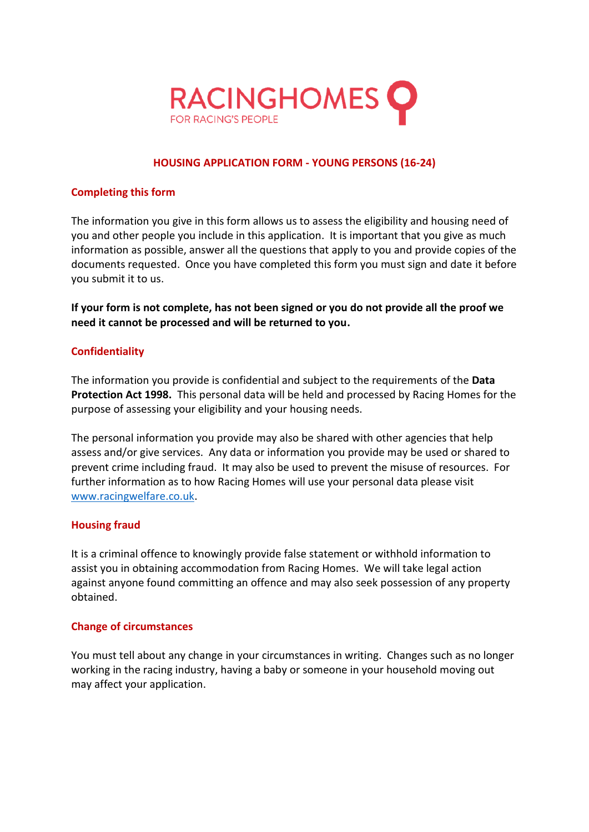

# **HOUSING APPLICATION FORM - YOUNG PERSONS (16-24)**

## **Completing this form**

The information you give in this form allows us to assess the eligibility and housing need of you and other people you include in this application. It is important that you give as much information as possible, answer all the questions that apply to you and provide copies of the documents requested. Once you have completed this form you must sign and date it before you submit it to us.

**If your form is not complete, has not been signed or you do not provide all the proof we need it cannot be processed and will be returned to you.** 

# **Confidentiality**

The information you provide is confidential and subject to the requirements of the **Data Protection Act 1998.** This personal data will be held and processed by Racing Homes for the purpose of assessing your eligibility and your housing needs.

The personal information you provide may also be shared with other agencies that help assess and/or give services. Any data or information you provide may be used or shared to prevent crime including fraud. It may also be used to prevent the misuse of resources. For further information as to how Racing Homes will use your personal data please visit [www.racingwelfare.co.uk.](http://www.racingwelfare.co.uk/)

#### **Housing fraud**

It is a criminal offence to knowingly provide false statement or withhold information to assist you in obtaining accommodation from Racing Homes. We will take legal action against anyone found committing an offence and may also seek possession of any property obtained.

# **Change of circumstances**

You must tell about any change in your circumstances in writing. Changes such as no longer working in the racing industry, having a baby or someone in your household moving out may affect your application.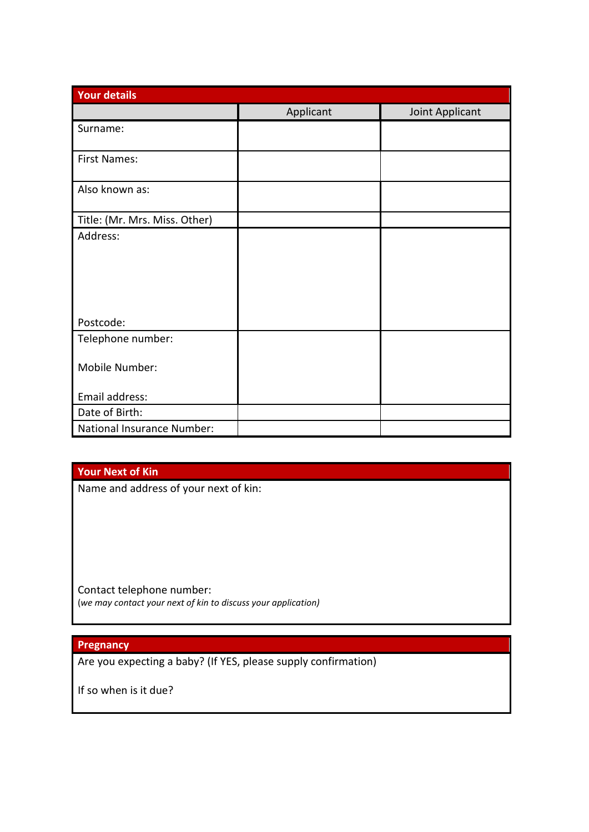| <b>Your details</b>           |           |                 |  |  |
|-------------------------------|-----------|-----------------|--|--|
|                               | Applicant | Joint Applicant |  |  |
| Surname:                      |           |                 |  |  |
| <b>First Names:</b>           |           |                 |  |  |
| Also known as:                |           |                 |  |  |
| Title: (Mr. Mrs. Miss. Other) |           |                 |  |  |
| Address:                      |           |                 |  |  |
|                               |           |                 |  |  |
|                               |           |                 |  |  |
|                               |           |                 |  |  |
| Postcode:                     |           |                 |  |  |
| Telephone number:             |           |                 |  |  |
| Mobile Number:                |           |                 |  |  |
| Email address:                |           |                 |  |  |
| Date of Birth:                |           |                 |  |  |
| National Insurance Number:    |           |                 |  |  |

# **Your Next of Kin**

Name and address of your next of kin:

Contact telephone number: (*we may contact your next of kin to discuss your application)*

## **Pregnancy**

Are you expecting a baby? (If YES, please supply confirmation)

If so when is it due?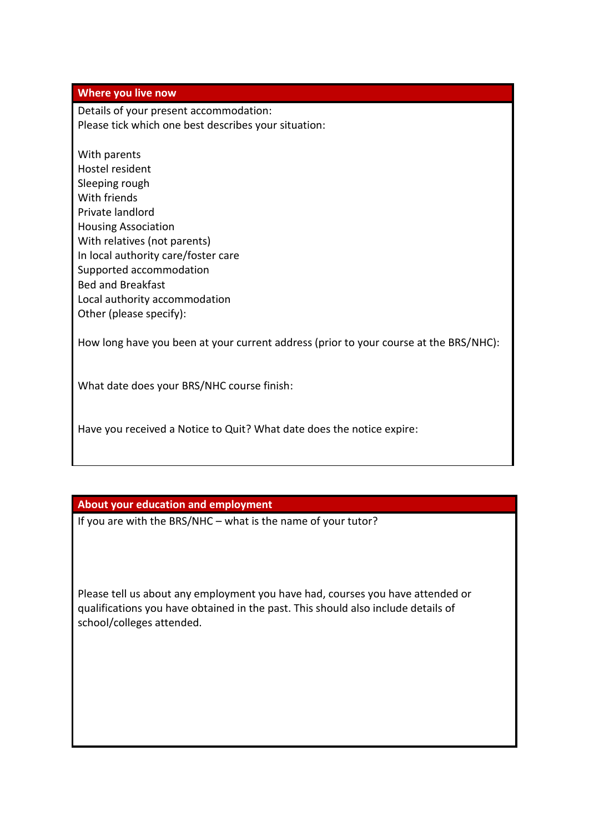### **Where you live now**

Details of your present accommodation: Please tick which one best describes your situation:

With parents Hostel resident Sleeping rough With friends Private landlord Housing Association With relatives (not parents) In local authority care/foster care Supported accommodation Bed and Breakfast Local authority accommodation Other (please specify):

How long have you been at your current address (prior to your course at the BRS/NHC):

What date does your BRS/NHC course finish:

Have you received a Notice to Quit? What date does the notice expire:

# **About your education and employment**

If you are with the BRS/NHC – what is the name of your tutor?

Please tell us about any employment you have had, courses you have attended or qualifications you have obtained in the past. This should also include details of school/colleges attended.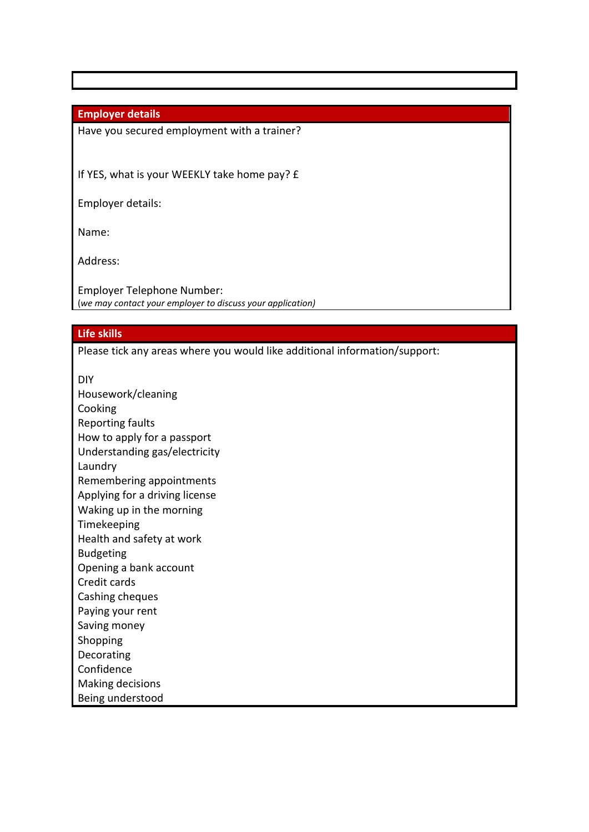## **Employer details**

Have you secured employment with a trainer?

If YES, what is your WEEKLY take home pay? £

Employer details:

Name:

Address:

Employer Telephone Number: (*we may contact your employer to discuss your application)*

#### **Life skills**

Please tick any areas where you would like additional information/support:

DIY

Housework/cleaning Cooking Reporting faults How to apply for a passport Understanding gas/electricity Laundry Remembering appointments Applying for a driving license Waking up in the morning Timekeeping Health and safety at work Budgeting Opening a bank account Credit cards Cashing cheques Paying your rent Saving money Shopping Decorating Confidence Making decisions Being understood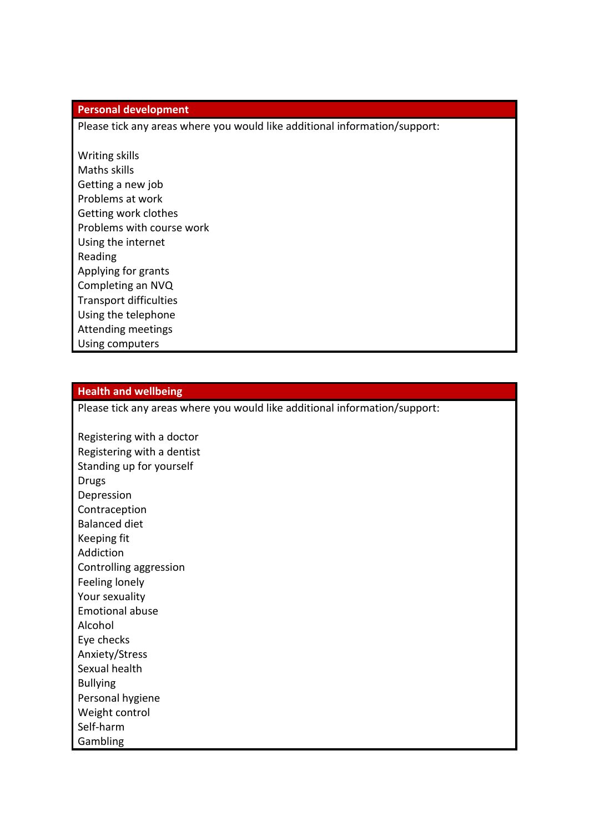#### **Personal development**

Please tick any areas where you would like additional information/support:

Writing skills Maths skills Getting a new job Problems at work Getting work clothes Problems with course work Using the internet Reading Applying for grants Completing an NVQ Transport difficulties Using the telephone Attending meetings Using computers

#### **Health and wellbeing**

Please tick any areas where you would like additional information/support:

Registering with a doctor Registering with a dentist Standing up for yourself Drugs Depression Contraception Balanced diet Keeping fit Addiction Controlling aggression Feeling lonely Your sexuality Emotional abuse Alcohol Eye checks Anxiety/Stress Sexual health Bullying Personal hygiene Weight control Self-harm Gambling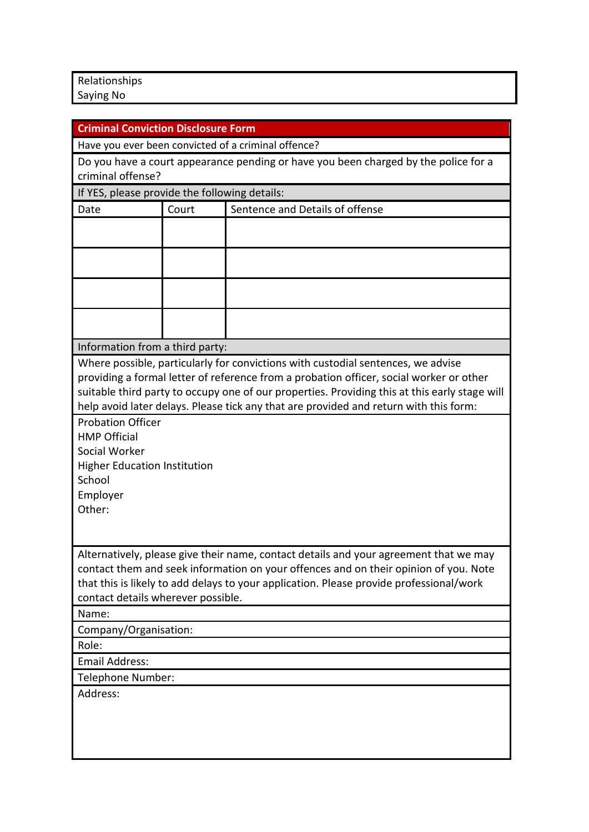Relationships Saying No

| <b>Criminal Conviction Disclosure Form</b>                                                                                                                                                                                                                                                                                                                            |       |                                                                                     |  |  |
|-----------------------------------------------------------------------------------------------------------------------------------------------------------------------------------------------------------------------------------------------------------------------------------------------------------------------------------------------------------------------|-------|-------------------------------------------------------------------------------------|--|--|
|                                                                                                                                                                                                                                                                                                                                                                       |       | Have you ever been convicted of a criminal offence?                                 |  |  |
|                                                                                                                                                                                                                                                                                                                                                                       |       | Do you have a court appearance pending or have you been charged by the police for a |  |  |
| criminal offense?                                                                                                                                                                                                                                                                                                                                                     |       |                                                                                     |  |  |
| If YES, please provide the following details:                                                                                                                                                                                                                                                                                                                         |       |                                                                                     |  |  |
| Date                                                                                                                                                                                                                                                                                                                                                                  | Court | Sentence and Details of offense                                                     |  |  |
|                                                                                                                                                                                                                                                                                                                                                                       |       |                                                                                     |  |  |
|                                                                                                                                                                                                                                                                                                                                                                       |       |                                                                                     |  |  |
|                                                                                                                                                                                                                                                                                                                                                                       |       |                                                                                     |  |  |
|                                                                                                                                                                                                                                                                                                                                                                       |       |                                                                                     |  |  |
| Information from a third party:                                                                                                                                                                                                                                                                                                                                       |       |                                                                                     |  |  |
| Where possible, particularly for convictions with custodial sentences, we advise<br>providing a formal letter of reference from a probation officer, social worker or other<br>suitable third party to occupy one of our properties. Providing this at this early stage will<br>help avoid later delays. Please tick any that are provided and return with this form: |       |                                                                                     |  |  |
| <b>Probation Officer</b><br><b>HMP Official</b><br>Social Worker<br><b>Higher Education Institution</b><br>School<br>Employer<br>Other:                                                                                                                                                                                                                               |       |                                                                                     |  |  |
| Alternatively, please give their name, contact details and your agreement that we may<br>contact them and seek information on your offences and on their opinion of you. Note<br>that this is likely to add delays to your application. Please provide professional/work<br>contact details wherever possible.<br>Name:                                               |       |                                                                                     |  |  |
| Company/Organisation:                                                                                                                                                                                                                                                                                                                                                 |       |                                                                                     |  |  |
| Role:                                                                                                                                                                                                                                                                                                                                                                 |       |                                                                                     |  |  |
| <b>Email Address:</b>                                                                                                                                                                                                                                                                                                                                                 |       |                                                                                     |  |  |
| Telephone Number:                                                                                                                                                                                                                                                                                                                                                     |       |                                                                                     |  |  |
| Address:                                                                                                                                                                                                                                                                                                                                                              |       |                                                                                     |  |  |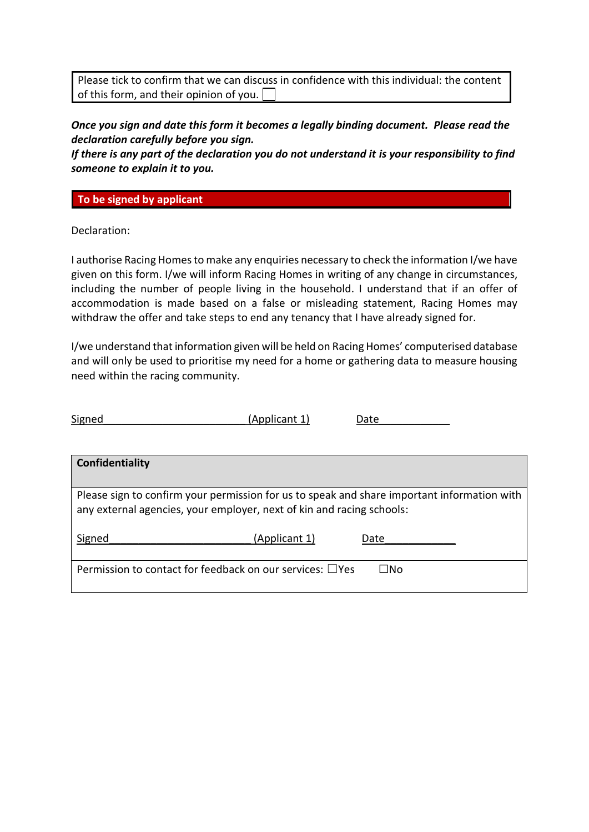Please tick to confirm that we can discuss in confidence with this individual: the content of this form, and their opinion of you.  $\square$ 

*Once you sign and date this form it becomes a legally binding document. Please read the declaration carefully before you sign.*

*If there is any part of the declaration you do not understand it is your responsibility to find someone to explain it to you.* 

**To be signed by applicant**

Declaration:

I authorise Racing Homes to make any enquiries necessary to check the information I/we have given on this form. I/we will inform Racing Homes in writing of any change in circumstances, including the number of people living in the household. I understand that if an offer of accommodation is made based on a false or misleading statement, Racing Homes may withdraw the offer and take steps to end any tenancy that I have already signed for.

I/we understand that information given will be held on Racing Homes' computerised database and will only be used to prioritise my need for a home or gathering data to measure housing need within the racing community.

| Signed                                                                                                                                                               | (Applicant 1) | Date |  |  |
|----------------------------------------------------------------------------------------------------------------------------------------------------------------------|---------------|------|--|--|
|                                                                                                                                                                      |               |      |  |  |
| Confidentiality                                                                                                                                                      |               |      |  |  |
| Please sign to confirm your permission for us to speak and share important information with<br>any external agencies, your employer, next of kin and racing schools: |               |      |  |  |
| Signed                                                                                                                                                               | (Applicant 1) | Date |  |  |
| Permission to contact for feedback on our services: $\Box$ Yes                                                                                                       |               | ⊟No  |  |  |